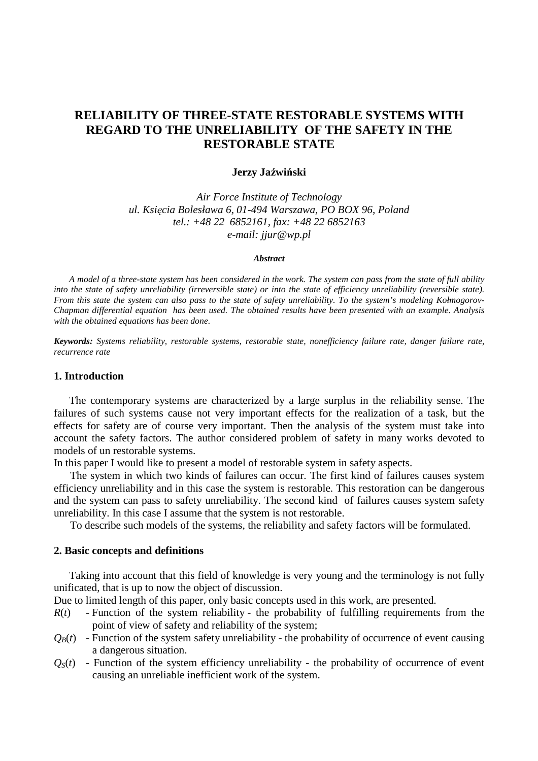# **RELIABILITY OF THREE-STATE RESTORABLE SYSTEMS WITH REGARD TO THE UNRELIABILITY OF THE SAFETY IN THE RESTORABLE STATE**

#### **Jerzy Ja**ź**wi**ń**ski**

*Air Force Institute of Technology ul. Ksi*ę*cia Bolesława 6, 01-494 Warszawa, PO BOX 96, Poland tel.: +48 22 6852161, fax: +48 22 6852163 e-mail: jjur@wp.pl* 

#### *Abstract*

 *A model of a three-state system has been considered in the work. The system can pass from the state of full ability into the state of safety unreliability (irreversible state) or into the state of efficiency unreliability (reversible state). From this state the system can also pass to the state of safety unreliability. To the system's modeling Kołmogorov-Chapman differential equation has been used. The obtained results have been presented with an example. Analysis with the obtained equations has been done.* 

*Keywords: Systems reliability, restorable systems, restorable state, nonefficiency failure rate, danger failure rate, recurrence rate* 

### **1. Introduction**

The contemporary systems are characterized by a large surplus in the reliability sense. The failures of such systems cause not very important effects for the realization of a task, but the effects for safety are of course very important. Then the analysis of the system must take into account the safety factors. The author considered problem of safety in many works devoted to models of un restorable systems.

In this paper I would like to present a model of restorable system in safety aspects.

The system in which two kinds of failures can occur. The first kind of failures causes system efficiency unreliability and in this case the system is restorable. This restoration can be dangerous and the system can pass to safety unreliability. The second kind of failures causes system safety unreliability. In this case I assume that the system is not restorable.

To describe such models of the systems, the reliability and safety factors will be formulated.

#### **2. Basic concepts and definitions**

Taking into account that this field of knowledge is very young and the terminology is not fully unificated, that is up to now the object of discussion.

Due to limited length of this paper, only basic concepts used in this work, are presented.

- $R(t)$  Function of the system reliability the probability of fulfilling requirements from the point of view of safety and reliability of the system;
- $Q_B(t)$  Function of the system safety unreliability the probability of occurrence of event causing a dangerous situation.
- $Q<sub>S</sub>(t)$  Function of the system efficiency unreliability the probability of occurrence of event causing an unreliable inefficient work of the system.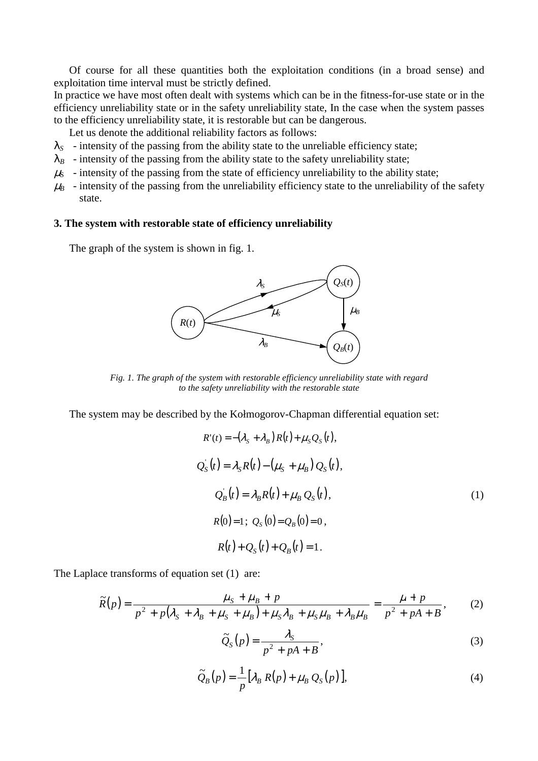Of course for all these quantities both the exploitation conditions (in a broad sense) and exploitation time interval must be strictly defined.

In practice we have most often dealt with systems which can be in the fitness-for-use state or in the efficiency unreliability state or in the safety unreliability state, In the case when the system passes to the efficiency unreliability state, it is restorable but can be dangerous.

Let us denote the additional reliability factors as follows:

- $\lambda_s$  intensity of the passing from the ability state to the unreliable efficiency state;
- $\lambda_B$  intensity of the passing from the ability state to the safety unreliability state;
- $\mu$ <sub>S</sub> intensity of the passing from the state of efficiency unreliability to the ability state;
- $\mu_B$  intensity of the passing from the unreliability efficiency state to the unreliability of the safety state.

## **3. The system with restorable state of efficiency unreliability**

The graph of the system is shown in fig. 1.



*Fig. 1. The graph of the system with restorable efficiency unreliability state with regard to the safety unreliability with the restorable state* 

The system may be described by the Kołmogorov-Chapman differential equation set:

$$
R'(t) = -(\lambda_{S} + \lambda_{B}) R(t) + \mu_{S} Q_{S}(t),
$$
  
\n
$$
Q_{S}'(t) = \lambda_{S} R(t) - (\mu_{S} + \mu_{B}) Q_{S}(t),
$$
  
\n
$$
Q_{B}'(t) = \lambda_{B} R(t) + \mu_{B} Q_{S}(t),
$$
  
\n
$$
R(0) = 1; Q_{S}(0) = Q_{B}(0) = 0,
$$
  
\n
$$
R(t) + Q_{S}(t) + Q_{B}(t) = 1.
$$
 (1)

The Laplace transforms of equation set (1) are:

$$
\widetilde{R}(p) = \frac{\mu_S + \mu_B + p}{p^2 + p(\lambda_S + \lambda_B + \mu_S + \mu_B) + \mu_S \lambda_B + \mu_S \mu_B + \lambda_B \mu_B} = \frac{\mu + p}{p^2 + pA + B},
$$
\n(2)

$$
\widetilde{Q}_S(p) = \frac{\lambda_S}{p^2 + pA + B},\tag{3}
$$

$$
\widetilde{Q}_B(p) = \frac{1}{p} \left[ \lambda_B R(p) + \mu_B Q_S(p) \right],\tag{4}
$$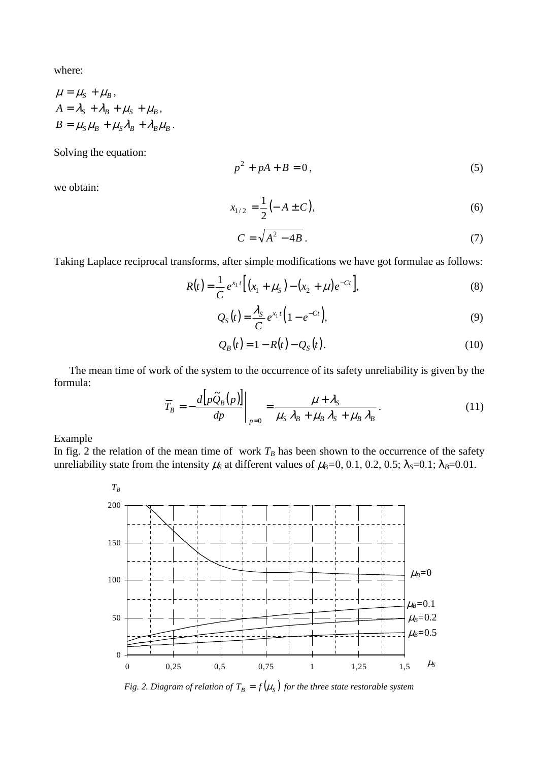where:

$$
\mu = \mu_S + \mu_B,
$$
  
\n
$$
A = \lambda_S + \lambda_B + \mu_S + \mu_B,
$$
  
\n
$$
B = \mu_S \mu_B + \mu_S \lambda_B + \lambda_B \mu_B.
$$

Solving the equation:

$$
p^2 + pA + B = 0,\t\t(5)
$$

we obtain:

$$
x_{1/2} = \frac{1}{2} (-A \pm C), \tag{6}
$$

$$
C = \sqrt{A^2 - 4B} \tag{7}
$$

Taking Laplace reciprocal transforms, after simple modifications we have got formulae as follows:

$$
R(t) = \frac{1}{C} e^{x_1 t} \left[ (x_1 + \mu_S) - (x_2 + \mu) e^{-Ct} \right],
$$
\n(8)

$$
Q_S(t) = \frac{\lambda_S}{C} e^{x_1 t} \Big( 1 - e^{-Ct} \Big),
$$
\n(9)

$$
Q_B(t) = 1 - R(t) - Q_S(t).
$$
 (10)

 The mean time of work of the system to the occurrence of its safety unreliability is given by the formula:

$$
\overline{T}_B = -\frac{d\left[p\widetilde{Q}_B(p)\right]}{dp}\bigg|_{p=0} = \frac{\mu + \lambda_S}{\mu_S \lambda_B + \mu_B \lambda_S + \mu_B \lambda_B}.
$$
\n(11)

Example

In fig. 2 the relation of the mean time of work  $T_B$  has been shown to the occurrence of the safety unreliability state from the intensity  $\mu_s$  at different values of  $\mu_B=0$ , 0.1, 0.2, 0.5;  $\lambda_s=0.1$ ;  $\lambda_B=0.01$ .



*Fig. 2. Diagram of relation of*  $T_B = f(\mu_S)$  *for the three state restorable system*